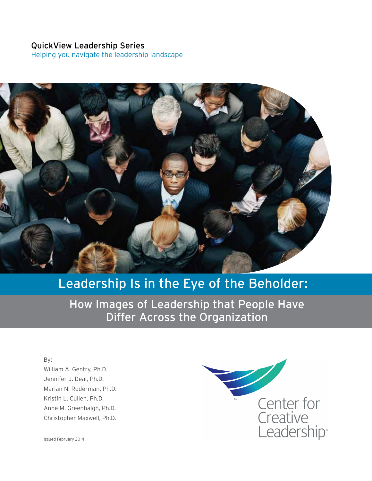### QuickView Leadership Series

Helping you navigate the leadership landscape



# Leadership Is in the Eye of the Beholder:

How Images of Leadership that People Have Differ Across the Organization

By: William A. Gentry, Ph.D. Jennifer J. Deal, Ph.D. Marian N. Ruderman, Ph.D. Kristin L. Cullen, Ph.D. Anne M. Greenhalgh, Ph.D. Christopher Maxwell, Ph.D.



Issued February 2014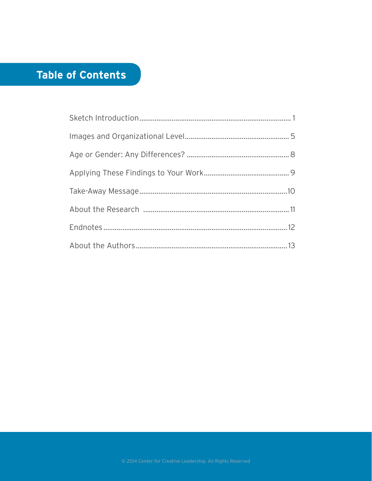# Table of Contents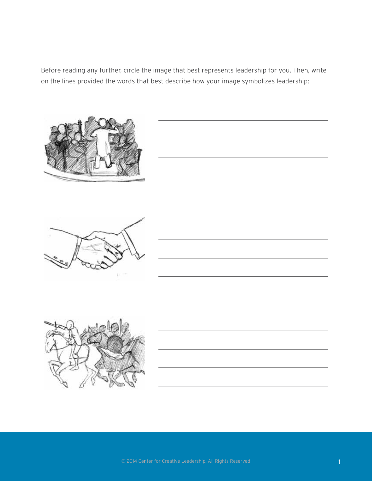Before reading any further, circle the image that best represents leadership for you. Then, write on the lines provided the words that best describe how your image symbolizes leadership:





<u> 1989 - Johann Barbara, martxa alemaniar a</u>





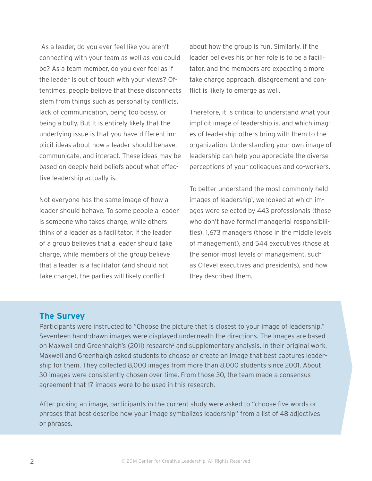As a leader, do you ever feel like you aren't connecting with your team as well as you could be? As a team member, do you ever feel as if the leader is out of touch with your views? Oftentimes, people believe that these disconnects stem from things such as personality conflicts, lack of communication, being too bossy, or being a bully. But it is entirely likely that the underlying issue is that you have different implicit ideas about how a leader should behave, communicate, and interact. These ideas may be based on deeply held beliefs about what effective leadership actually is.

Not everyone has the same image of how a leader should behave. To some people a leader is someone who takes charge, while others think of a leader as a facilitator. If the leader of a group believes that a leader should take charge, while members of the group believe that a leader is a facilitator (and should not take charge), the parties will likely conflict

about how the group is run. Similarly, if the leader believes his or her role is to be a facilitator, and the members are expecting a more take charge approach, disagreement and conflict is likely to emerge as well.

Therefore, it is critical to understand what your implicit image of leadership is, and which images of leadership others bring with them to the organization. Understanding your own image of leadership can help you appreciate the diverse perceptions of your colleagues and co-workers.

To better understand the most commonly held images of leadership<sup>1</sup>, we looked at which images were selected by 443 professionals (those who don't have formal managerial responsibilities), 1,673 managers (those in the middle levels of management), and 544 executives (those at the senior-most levels of management, such as C-level executives and presidents), and how they described them.

### **The Survey**

Participants were instructed to "Choose the picture that is closest to your image of leadership." Seventeen hand-drawn images were displayed underneath the directions. The images are based on Maxwell and Greenhalgh's (2011) research<sup>2</sup> and supplementary analysis. In their original work, Maxwell and Greenhalgh asked students to choose or create an image that best captures leadership for them. They collected 8,000 images from more than 8,000 students since 2001. About 30 images were consistently chosen over time. From those 30, the team made a consensus agreement that 17 images were to be used in this research.

After picking an image, participants in the current study were asked to "choose five words or phrases that best describe how your image symbolizes leadership" from a list of 48 adjectives or phrases.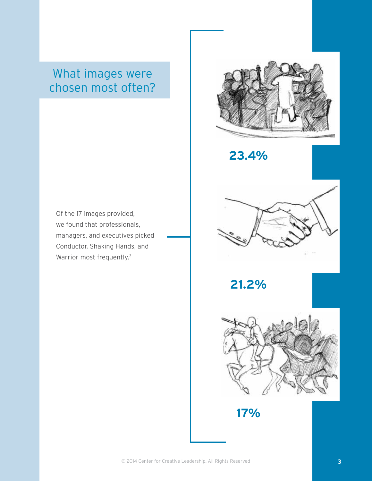# What images were chosen most often?

Of the 17 images provided, we found that professionals, managers, and executives picked Conductor, Shaking Hands, and Warrior most frequently.<sup>3</sup>



**23.4%**



**21.2%**



**17%**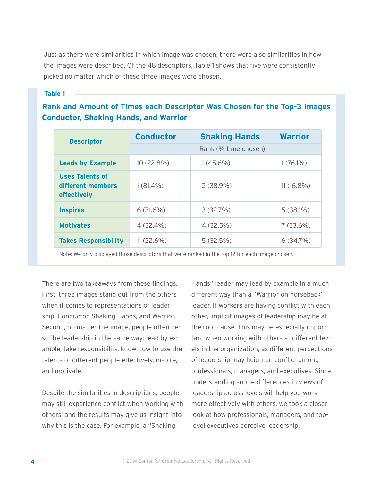Just as there were similarities in which image was chosen, there were also similarities in how the images were described. Of the 48 descriptors, Table 1 shows that five were consistently picked no matter which of these three images were chosen.

#### **Table 1**

### **Rank and Amount of Times each Descriptor Was Chosen for the Top-3 Images Conductor, Shaking Hands, and Warrior**

| <b>Descriptor</b>                                          | <b>Conductor</b>     | <b>Shaking Hands</b> | <b>Warrior</b> |  |
|------------------------------------------------------------|----------------------|----------------------|----------------|--|
|                                                            | Rank (% time chosen) |                      |                |  |
| <b>Leads by Example</b>                                    | 10 (22.8%)           | $1(45.6\%)$          | $1(76.1\%)$    |  |
| <b>Uses Talents of</b><br>different members<br>effectively | $1(81.4\%)$          | $2(38.9\%)$          | $11(16.8\%)$   |  |
| <b>Inspires</b>                                            | $6(31.6\%)$          | 3(32.7%)             | $5(38.1\%)$    |  |
| <b>Motivates</b>                                           | $4(32.4\%)$          | $4(32.5\%)$          | $7(33.6\%)$    |  |
| <b>Takes Responsibility</b>                                | $11(22.6\%)$         | 5(32.5%)             | 6(34.7%)       |  |

Note: We only displayed those descriptors that were ranked in the top 12 for each image chosen.

There are two takeaways from these findings. First, three images stand out from the others when it comes to representations of leadership: Conductor, Shaking Hands, and Warrior. Second, no matter the image, people often describe leadership in the same way: lead by example, take responsibility, know how to use the talents of different people effectively, inspire, and motivate.

Despite the similarities in descriptions, people may still experience conflict when working with others, and the results may give us insight into why this is the case. For example, a "Shaking

Hands" leader may lead by example in a much different way than a "Warrior on horseback" leader. If workers are having conflict with each other, implicit images of leadership may be at the root cause. This may be especially important when working with others at different levels in the organization, as different perceptions of leadership may heighten conflict among professionals, managers, and executives. Since understanding subtle differences in views of leadership across levels will help you work more effectively with others, we took a closer look at how professionals, managers, and toplevel executives perceive leadership.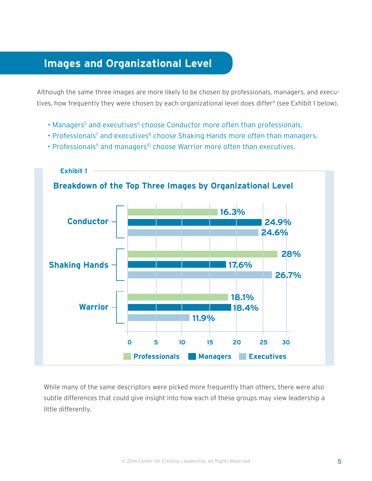# **Images and Organizational Level**

Although the same three images are more likely to be chosen by professionals, managers, and executives, how frequently they were chosen by each organizational level does differ<sup>4</sup> (see Exhibit 1 below).

- Managers<sup>5</sup> and executives<sup>6</sup> choose Conductor more often than professionals.
- Professionals<sup>7</sup> and executives<sup>8</sup> choose Shaking Hands more often than managers.
- Professionals<sup>9</sup> and managers<sup>10</sup> choose Warrior more often than executives.



While many of the same descriptors were picked more frequently than others, there were also subtle differences that could give insight into how each of these groups may view leadership a little differently.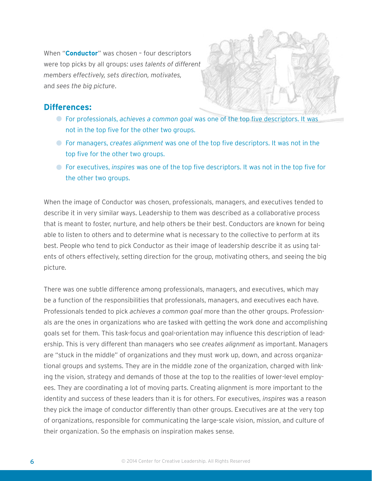When "**Conductor**" was chosen – four descriptors were top picks by all groups: *uses talents of different members effectively, sets direction, motivates,*  and *sees the big picture*.



### **Differences:**

- For professionals, *achieves a common goal* was one of the top five descriptors. It was not in the top five for the other two groups.
- For managers, *creates alignment* was one of the top five descriptors. It was not in the top five for the other two groups.
- For executives, *inspires* was one of the top five descriptors. It was not in the top five for the other two groups.

When the image of Conductor was chosen, professionals, managers, and executives tended to describe it in very similar ways. Leadership to them was described as a collaborative process that is meant to foster, nurture, and help others be their best. Conductors are known for being able to listen to others and to determine what is necessary to the collective to perform at its best. People who tend to pick Conductor as their image of leadership describe it as using talents of others effectively, setting direction for the group, motivating others, and seeing the big picture.

There was one subtle difference among professionals, managers, and executives, which may be a function of the responsibilities that professionals, managers, and executives each have. Professionals tended to pick *achieves a common goal* more than the other groups. Professionals are the ones in organizations who are tasked with getting the work done and accomplishing goals set for them. This task-focus and goal-orientation may influence this description of leadership. This is very different than managers who see *creates alignment* as important. Managers are "stuck in the middle" of organizations and they must work up, down, and across organizational groups and systems. They are in the middle zone of the organization, charged with linking the vision, strategy and demands of those at the top to the realities of lower-level employees. They are coordinating a lot of moving parts. Creating alignment is more important to the identity and success of these leaders than it is for others. For executives, *inspires* was a reason they pick the image of conductor differently than other groups. Executives are at the very top of organizations, responsible for communicating the large-scale vision, mission, and culture of their organization. So the emphasis on inspiration makes sense.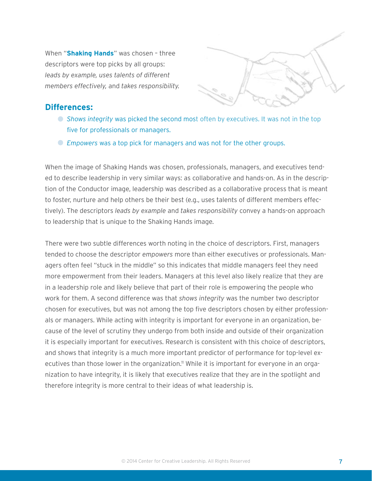When "**Shaking Hands**" was chosen – three descriptors were top picks by all groups: *leads by example, uses talents of different members effectively,* and *takes responsibility.*



#### **Differences:**

- *Shows integrity* was picked the second most often by executives. It was not in the top five for professionals or managers.
- *Empowers* was a top pick for managers and was not for the other groups.

When the image of Shaking Hands was chosen, professionals, managers, and executives tended to describe leadership in very similar ways: as collaborative and hands-on. As in the description of the Conductor image, leadership was described as a collaborative process that is meant to foster, nurture and help others be their best (e.g., uses talents of different members effectively). The descriptors *leads by example* and *takes responsibility* convey a hands-on approach to leadership that is unique to the Shaking Hands image.

There were two subtle differences worth noting in the choice of descriptors. First, managers tended to choose the descriptor *empowers* more than either executives or professionals. Managers often feel "stuck in the middle" so this indicates that middle managers feel they need more empowerment from their leaders. Managers at this level also likely realize that they are in a leadership role and likely believe that part of their role is empowering the people who work for them. A second difference was that *shows integrity* was the number two descriptor chosen for executives, but was not among the top five descriptors chosen by either professionals or managers. While acting with integrity is important for everyone in an organization, because of the level of scrutiny they undergo from both inside and outside of their organization it is especially important for executives. Research is consistent with this choice of descriptors, and shows that integrity is a much more important predictor of performance for top-level executives than those lower in the organization.<sup>11</sup> While it is important for everyone in an organization to have integrity, it is likely that executives realize that they are in the spotlight and therefore integrity is more central to their ideas of what leadership is.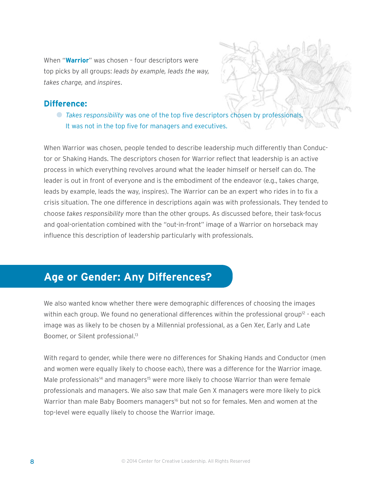When "**Warrior**" was chosen – four descriptors were top picks by all groups: *leads by example, leads the way, takes charge,* and *inspires*.

### **Difference:**

*Takes responsibility* was one of the top five descriptors chosen by professionals. It was not in the top five for managers and executives.

When Warrior was chosen, people tended to describe leadership much differently than Conductor or Shaking Hands. The descriptors chosen for Warrior reflect that leadership is an active process in which everything revolves around what the leader himself or herself can do. The leader is out in front of everyone and is the embodiment of the endeavor (e.g., takes charge, leads by example, leads the way, inspires). The Warrior can be an expert who rides in to fix a crisis situation. The one difference in descriptions again was with professionals. They tended to choose *takes responsibility* more than the other groups. As discussed before, their task-focus and goal-orientation combined with the "out-in-front" image of a Warrior on horseback may influence this description of leadership particularly with professionals.

## **Age or Gender: Any Differences?**

We also wanted know whether there were demographic differences of choosing the images within each group. We found no generational differences within the professional group<sup>12</sup> - each image was as likely to be chosen by a Millennial professional, as a Gen Xer, Early and Late Boomer, or Silent professional.<sup>13</sup>

With regard to gender, while there were no differences for Shaking Hands and Conductor (men and women were equally likely to choose each), there was a difference for the Warrior image. Male professionals<sup>14</sup> and managers<sup>15</sup> were more likely to choose Warrior than were female professionals and managers. We also saw that male Gen X managers were more likely to pick Warrior than male Baby Boomers managers<sup>16</sup> but not so for females. Men and women at the top-level were equally likely to choose the Warrior image.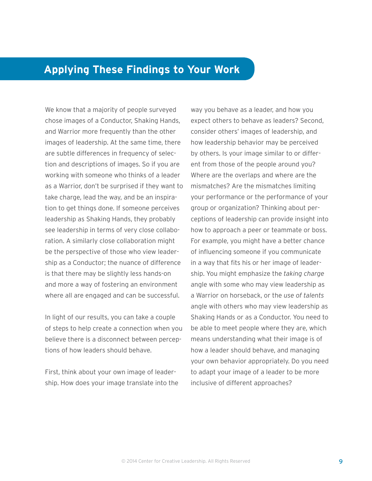## **Applying These Findings to Your Work**

We know that a majority of people surveyed chose images of a Conductor, Shaking Hands, and Warrior more frequently than the other images of leadership. At the same time, there are subtle differences in frequency of selection and descriptions of images. So if you are working with someone who thinks of a leader as a Warrior, don't be surprised if they want to take charge, lead the way, and be an inspiration to get things done. If someone perceives leadership as Shaking Hands, they probably see leadership in terms of very close collaboration. A similarly close collaboration might be the perspective of those who view leadership as a Conductor; the nuance of difference is that there may be slightly less hands-on and more a way of fostering an environment where all are engaged and can be successful.

In light of our results, you can take a couple of steps to help create a connection when you believe there is a disconnect between perceptions of how leaders should behave.

First, think about your own image of leadership. How does your image translate into the

way you behave as a leader, and how you expect others to behave as leaders? Second, consider others' images of leadership, and how leadership behavior may be perceived by others. Is your image similar to or different from those of the people around you? Where are the overlaps and where are the mismatches? Are the mismatches limiting your performance or the performance of your group or organization? Thinking about perceptions of leadership can provide insight into how to approach a peer or teammate or boss. For example, you might have a better chance of influencing someone if you communicate in a way that fits his or her image of leadership. You might emphasize the *taking charge* angle with some who may view leadership as a Warrior on horseback, or the *use of talents* angle with others who may view leadership as Shaking Hands or as a Conductor. You need to be able to meet people where they are, which means understanding what their image is of how a leader should behave, and managing your own behavior appropriately. Do you need to adapt your image of a leader to be more inclusive of different approaches?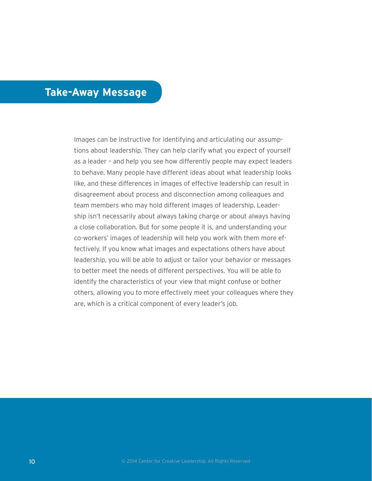### **Take-Away Message**

Images can be instructive for identifying and articulating our assumptions about leadership. They can help clarify what you expect of yourself as a leader – and help you see how differently people may expect leaders to behave. Many people have different ideas about what leadership looks like, and these differences in images of effective leadership can result in disagreement about process and disconnection among colleagues and team members who may hold different images of leadership. Leadership isn't necessarily about always taking charge or about always having a close collaboration. But for some people it is, and understanding your co-workers' images of leadership will help you work with them more effectively. If you know what images and expectations others have about leadership, you will be able to adjust or tailor your behavior or messages to better meet the needs of different perspectives. You will be able to identify the characteristics of your view that might confuse or bother others, allowing you to more effectively meet your colleagues where they are, which is a critical component of every leader's job.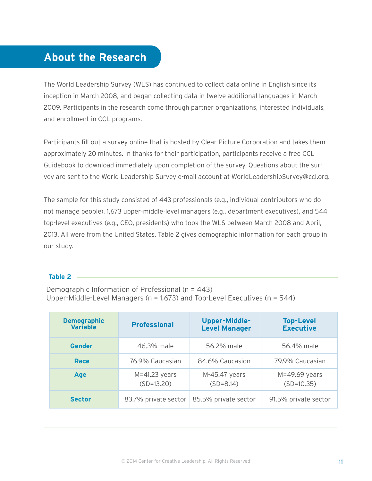# **About the Research**

The World Leadership Survey (WLS) has continued to collect data online in English since its inception in March 2008, and began collecting data in twelve additional languages in March 2009. Participants in the research come through partner organizations, interested individuals, and enrollment in CCL programs.

Participants fill out a survey online that is hosted by Clear Picture Corporation and takes them approximately 20 minutes. In thanks for their participation, participants receive a free CCL Guidebook to download immediately upon completion of the survey. Questions about the survey are sent to the World Leadership Survey e-mail account at WorldLeadershipSurvey@ccl.org.

The sample for this study consisted of 443 professionals (e.g., individual contributors who do not manage people), 1,673 upper-middle-level managers (e.g., department executives), and 544 top-level executives (e.g., CEO, presidents) who took the WLS between March 2008 and April, 2013. All were from the United States. Table 2 gives demographic information for each group in our study.

#### **Table 2**

Demographic Information of Professional (n = 443) Upper-Middle-Level Managers (n = 1,673) and Top-Level Executives (n = 544)

| <b>Demographic</b><br><b>Variable</b> | <b>Professional</b>               | Upper-Middle-<br><b>Level Manager</b> | <b>Top-Level</b><br><b>Executive</b> |
|---------------------------------------|-----------------------------------|---------------------------------------|--------------------------------------|
| <b>Gender</b>                         | 46.3% male                        | 56.2% male                            | 56.4% male                           |
| Race                                  | 76.9% Caucasian                   | 84.6% Caucasion                       | 79.9% Caucasian                      |
| Age                                   | $M = 41.23$ years<br>$(SD=13.20)$ | M-45.47 years<br>$(SD=8.14)$          | $M=49.69$ years<br>$(SD=10.35)$      |
| <b>Sector</b>                         | 83.7% private sector              | 85.5% private sector                  | 91.5% private sector                 |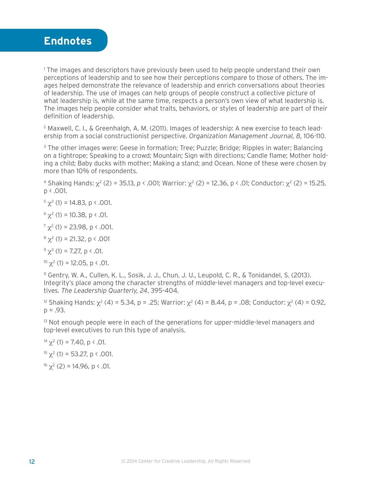

<sup>1</sup> The images and descriptors have previously been used to help people understand their own perceptions of leadership and to see how their perceptions compare to those of others. The images helped demonstrate the relevance of leadership and enrich conversations about theories of leadership. The use of images can help groups of people construct a collective picture of what leadership is, while at the same time, respects a person's own view of what leadership is. The images help people consider what traits, behaviors, or styles of leadership are part of their definition of leadership.

2 Maxwell, C. I., & Greenhalgh, A. M. (2011). Images of leadership: A new exercise to teach leadership from a social constructionist perspective. *Organization Management Journal, 8*, 106-110.

<sup>3</sup> The other images were: Geese in formation; Tree; Puzzle; Bridge; Ripples in water; Balancing on a tightrope; Speaking to a crowd; Mountain; Sign with directions; Candle flame; Mother holding a child; Baby ducks with mother; Making a stand; and Ocean. None of these were chosen by more than 10% of respondents.

<sup>4</sup> Shaking Hands:  $\chi^2$  (2) = 35.13, *p* < .001; Warrior:  $\chi^2$  (2) = 12.36, p < .01; Conductor:  $\chi^2$  (2) = 15.25, p < .001.

 $5 \chi^2$  (1) = 14.83, p < .001.

 $<sup>6</sup>χ<sup>2</sup>$  (1) = 10.38, p < .01.</sup>

 $7 \chi^2$  (1) = 23.98, p < .001.

 $8 \chi^2$  (1) = 21.32, p < .001

 $9 \chi^2$  (1) = 7.27, p < .01.

<sup>10</sup>  $\chi^2$  (1) = 12.05, p < .01.

11 Gentry, W. A., Cullen, K. L., Sosik, J. J., Chun, J. U., Leupold, C. R., & Tonidandel, S. (2013). Integrity's place among the character strengths of middle-level managers and top-level executives. *The Leadership Quarterly, 24*, 395-404.

<sup>12</sup> Shaking Hands:  $\chi^2$  (4) = 5.34, p = .25; Warrior:  $\chi^2$  (4) = 8.44, p = .08; Conductor:  $\chi^2$  (4) = 0.92,  $p = .93$ .

 $13$  Not enough people were in each of the generations for upper-middle-level managers and top-level executives to run this type of analysis.

<sup>14</sup> χ<sup>2</sup> (1) = 7.40, p < .01. <sup>15</sup>  $\chi^2$  (1) = 53.27, p < .001. <sup>16</sup>  $\chi^2$  (2) = 14.96, p < .01.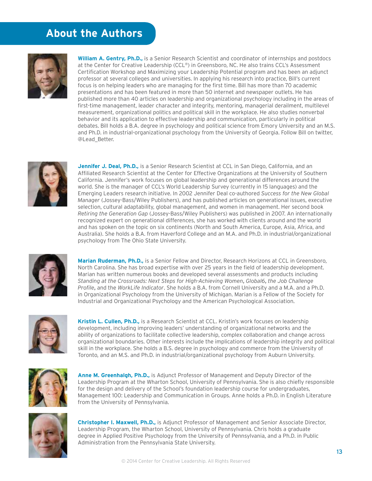# **About the Authors**



**William A. Gentry, Ph.D.,** is a Senior Research Scientist and coordinator of internships and postdocs at the Center for Creative Leadership (CCL®) in Greensboro, NC. He also trains CCL's Assessment Certification Workshop and Maximizing your Leadership Potential program and has been an adjunct professor at several colleges and universities. In applying his research into practice, Bill's current focus is on helping leaders who are managing for the first time. Bill has more than 70 academic presentations and has been featured in more than 50 internet and newspaper outlets. He has published more than 40 articles on leadership and organizational psychology including in the areas of first-time management, leader character and integrity, mentoring, managerial derailment, multilevel measurement, organizational politics and political skill in the workplace. He also studies nonverbal behavior and its application to effective leadership and communication, particularly in political debates. Bill holds a B.A. degree in psychology and political science from Emory University and an M.S. and Ph.D. in industrial-organizational psychology from the University of Georgia. Follow Bill on twitter, @Lead\_Better.



**Jennifer J. Deal, Ph.D.,** is a Senior Research Scientist at CCL in San Diego, California, and an Affiliated Research Scientist at the Center for Effective Organizations at the University of Southern California. Jennifer's work focuses on global leadership and generational differences around the world. She is the manager of CCL's World Leadership Survey (currently in 15 languages) and the Emerging Leaders research initiative. In 2002 Jennifer Deal co-authored *Success for the New Global Manager* (Jossey-Bass/Wiley Publishers), and has published articles on generational issues, executive selection, cultural adaptability, global management, and women in management. Her second book *Retiring the Generation Gap* (Jossey-Bass/Wiley Publishers) was published in 2007. An internationally recognized expert on generational differences, she has worked with clients around and the world and has spoken on the topic on six continents (North and South America, Europe, Asia, Africa, and Australia). She holds a B.A. from Haverford College and an M.A. and Ph.D. in industrial/organizational psychology from The Ohio State University.



**Marian Ruderman, Ph.D.,** is a Senior Fellow and Director, Research Horizons at CCL in Greensboro, North Carolina. She has broad expertise with over 25 years in the field of leadership development. Marian has written numerous books and developed several assessments and products including *Standing at the Crossroads: Next Steps for High-Achieving Women*, *Global6*, *the Job Challenge Profile*, and the *WorkLife Indicator*. She holds a B.A. from Cornell University and a M.A. and a Ph.D. in Organizational Psychology from the University of Michigan. Marian is a Fellow of the Society for Industrial and Organizational Psychology and the American Psychological Association.



**Kristin L. Cullen, Ph.D.,** is a Research Scientist at CCL. Kristin's work focuses on leadership development, including improving leaders' understanding of organizational networks and the ability of organizations to facilitate collective leadership, complex collaboration and change across organizational boundaries. Other interests include the implications of leadership integrity and political skill in the workplace. She holds a B.S. degree in psychology and commerce from the University of Toronto, and an M.S. and Ph.D. in industrial/organizational psychology from Auburn University.



**Anne M. Greenhalgh, Ph.D.,** is Adjunct Professor of Management and Deputy Director of the Leadership Program at the Wharton School, University of Pennsylvania. She is also chiefly responsible for the design and delivery of the School's foundation leadership course for undergraduates, Management 100: Leadership and Communication in Groups. Anne holds a Ph.D. in English Literature from the University of Pennsylvania.



**Christopher I. Maxwell, Ph.D.,** is Adjunct Professor of Management and Senior Associate Director, Leadership Program, the Wharton School, University of Pennsylvania. Chris holds a graduate degree in Applied Positive Psychology from the University of Pennsylvania, and a Ph.D. in Public Administration from the Pennsylvania State University.